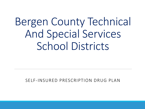# Bergen County Technical And Special Services School Districts

### SELF-INSURED PRESCRIPTION DRUG PLAN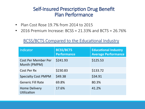### Self-Insured Prescription Drug Benefit Plan Performance

- Plan Cost Rose 19.7% from 2014 to 2015
- 2016 Premium Increase: BCSS =  $21.33\%$  and BCTS =  $26.76\%$

### BCSS/BCTS Compared to the Educational Industry

| Indicator                                  | <b>BCSS/BCTS</b><br><b>Performance</b> | <b>Educational Industry</b><br><b>Average Performance</b> |
|--------------------------------------------|----------------------------------------|-----------------------------------------------------------|
| <b>Cost Per Member Per</b><br>Month (PMPM) | \$241.93                               | \$125.53                                                  |
| Cost Per Rx                                | \$230.83                               | \$133.72                                                  |
| <b>Specialty Cost PMPM</b>                 | \$49.38                                | \$34.91                                                   |
| <b>Generic Fill Rate</b>                   | 69.8%                                  | 80.3%                                                     |
| <b>Home Delivery</b><br><b>Utilization</b> | 17.6%                                  | 41.2%                                                     |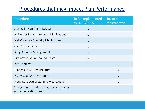### Procedures that may Impact Plan Performance

| Procedure                                                              | To Be Implemented<br>by BCSS/BCTS | Not to be<br>Implemented |
|------------------------------------------------------------------------|-----------------------------------|--------------------------|
| Change in Plan Administrator                                           | $\sqrt{}$                         |                          |
| Mail order for Maintenance Medications                                 | $\sqrt{ }$                        |                          |
| Mail Order for Specialty Medications                                   | $\sqrt{ }$                        |                          |
| <b>Prior Authorization</b>                                             | $\sqrt{ }$                        |                          |
| <b>Drug Quantity Management</b>                                        | $\sqrt{ }$                        |                          |
| Elimination of Compound Drugs                                          | $\checkmark$                      |                          |
| Step Therapy                                                           |                                   | $\sqrt{}$                |
| Changes to Co-Pay Structure                                            |                                   | $\sqrt{}$                |
| Dispense as Written Option 2                                           |                                   | $\sqrt{}$                |
| Mandatory Use of Generic Medications                                   |                                   | $\sqrt{}$                |
| Changes in utilization of local pharmacy for<br>acute medication needs |                                   | $\checkmark$             |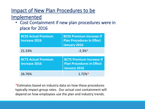# Impact of New Plan Procedures to be

### Implemented

• Cost Containment if new plan procedures were in place for 2016

| <b>BCSS Actual Premium</b><br><b>Increase 2016</b> | <b>BCSS Premium Increase If</b><br><b>Plan Procedures in Effect</b><br><b>January 2016</b> |
|----------------------------------------------------|--------------------------------------------------------------------------------------------|
| 21.33%                                             | $-2.3\%*$                                                                                  |
| <b>BCTS Actual Premium</b><br><b>Increase 2016</b> | <b>BCTS Premium Increase If</b><br><b>Plan Procedures in Effect</b><br><b>January 2016</b> |
| 26.76%                                             | $1.72\%*$                                                                                  |

\*Estimates based on industry data on how these procedures typically impact group rates. Our actual cost containment will depend on how employees use the plan and industry trends.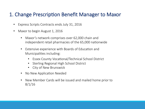### 1. Change Prescription Benefit Manager to Maxor

- Express Scripts Contracts ends July 31, 2016
- Maxor to begin August 1, 2016
	- Maxor's network comprises over 62,000 chain and independent retail pharmacies of the 65,000 nationwide
	- Extensive experience with Boards of Education and Municipalities including:
		- Essex County Vocational/Technical School District
		- Sterling Regional High School District
		- City of New Brunswick
	- No New Application Needed
	- New Member Cards will be issued and mailed home prior to 8/1/16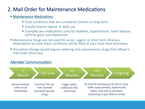## 2. Mail Order for Maintenance Medications

#### **• Maintenance Medications**

- Treat conditions that are considered chronic or long-term
- Usually require regular or daily use
- Examples are medications used for diabetes, hypertension, heart disease, asthma, gout, and depression
- Maintenance Drugs are not used for acute, urgent or short term illnesses. Medications to treat these conditions will be filled at your local retail pharmacy
- § Procedure change would require ordering only maintenance drugs from Maxor's mail order pharmacy

#### Member Communication:

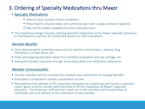# 3. Ordering of Specialty Medications thru Maxor

#### **Specialty Medications**

- Used to treat complex chronic conditions
- Prescribed for disease states not commonly seen with a large number of patients
- May not be readily available at a local retail pharmacy
- The procedure change requires ordering specialty medication at the Maxor specialty pharmacy, or the MaxorPlus partner for limited distribution or LDD medications

#### Member Benefits

- Close Monitoring for potential issues such as injection site reactions, adverse drug interactions, missed doses, etc.
- Initial and ongoing education about the members medication and use, storage, etc.
- **Improved member outcomes through promoting safety and medication adherence.**

#### **Member Communication**

- Current members will be contacted by a patient care coordinator to manage benefits
- Prescriber is contacted to initiate coordination of care.
- $\blacksquare$  New patients that attempt to fill a specialty medication at a pharmacy will receive a rejection notice, given a phone number and instructed to fill the medication at Maxor's specialty pharmacy. The pharmacy staff will then reach out to the member and the prescriber to coordinate care and delivery of the medication to the member.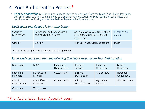### 4. Prior Authorization Process\*

• Prior Authorization requires a pharmacy to receive an approval from the MaxorPlus Clinical Pharmacy personnel prior to them being allowed to dispense the medication to treat specific disease states that require extra monitoring and review before these medications are used.

#### **Medications that Require Prior Authorization**

| Specialty<br>Medications                                | Compound medications with a<br>cost of \$100.00 or more | Any claim with a cost greater than<br>\$2,000.00 at retail or \$4,000.00<br>at mail order | Injectables over<br>\$250.00 |  |
|---------------------------------------------------------|---------------------------------------------------------|-------------------------------------------------------------------------------------------|------------------------------|--|
| Conzi $p^{\circledast}$                                 | Dificial <sup>®</sup>                                   | High Cost Antifungal Medications                                                          | Xifaxan                      |  |
| Topical Tretinoin agents for members over the age of 40 |                                                         |                                                                                           |                              |  |

#### Some Medications that treat the following Conditions may require Prior Authorization

| Narcolepsy                    | <b>MRSA</b>                      | Pulmonary<br>Hypertension | Multiple<br>Sclerosis      | <b>Blood Cell</b><br>Deficiency | Growth<br>Deficiency     |
|-------------------------------|----------------------------------|---------------------------|----------------------------|---------------------------------|--------------------------|
| Endocrine<br><b>Disorders</b> | Sleep/Wake<br><b>Disorder</b>    | Osteoarthritis            | Enzyme<br>Deficiencies     | <b>GI Disorders</b>             | Hereditary<br>Angioedema |
| Macular<br>Degeneration       | Mental/Neuro<br><b>Disorders</b> | <b>Bone Conditions</b>    | Allergy<br>Desensitization | High Blood<br>Pressure          | <b>Skin Conditions</b>   |
| Glaucoma                      | Weight Loss                      |                           |                            |                                 |                          |

#### \* Prior Authorization has an Appeals Process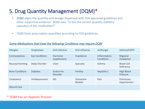# 5. Drug Quantity Management (DQM)\*

- DQM aligns the quantity and dosage dispensed with FDA approved guidelines and other supportive evidence. DQM asks: "Is this the correct quantity (tablets/ capsules) of this medication?"
- DQM limits prescription quantities according to FDA guidelines.

#### Some Medications that treat the following Conditions may require DQM

| Allergies              | Anaphylaxis     | Anti-infective         | Anti-influenza        | Antifungal                 | Asthma/COPD                     |
|------------------------|-----------------|------------------------|-----------------------|----------------------------|---------------------------------|
| Contraceptives         | Eye Conditions  | Hormone<br>Supplements | Impotence             | Inflammatory<br>Conditions | Migraine<br>Headaches           |
| Nausea/Vomiting        | Sleep Disorder  | Ulcer                  | Specialty             | Asthma                     | <b>Blood Cell</b><br>Deficiency |
| <b>Bone Conditions</b> | <b>Diabetes</b> | Endocrine<br>Disorder  | Fertility             | Hepatitis C                | High Blood<br>Pressure          |
| Cholesterol            | Antidepressants | <b>MS</b>              | Overactive<br>Bladder | Pain                       | Pulmonary<br>Hypertension       |
| <b>Wound Care</b>      |                 |                        |                       |                            |                                 |

#### \* DQM has an Appeals Process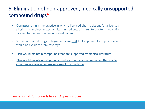# 6. Elimination of non-approved, medically unsupported compound drugs\*

- Compounding is the practice in which a licensed pharmacist and/or a licensed physician combines, mixes, or alters ingredients of a drug to create a medication tailored to the needs of an individual patient.
- Some Compound Drugs or Ingredients are NOT FDA approved for topical use and would be excluded from coverage
- Plan would maintain compounds that are supported by medical literature
	- Plan would maintain compounds used for infants or children when there is no commercially available dosage form of the medicine

#### \* Elimination of Compounds has an Appeals Process